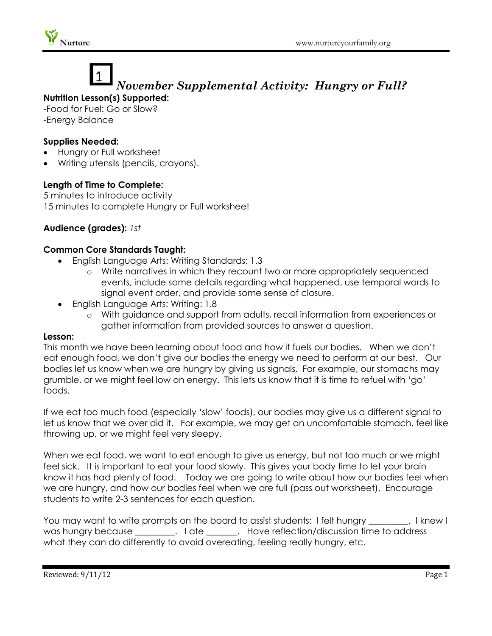

# *November Supplemental Activity: Hungry or Full?*

### **Nutrition Lesson(s) Supported:**

-Food for Fuel: Go or Slow? -Energy Balance

#### **Supplies Needed:**

- Hungry or Full worksheet
- Writing utensils (pencils, crayons).

#### **Length of Time to Complete:**

5 minutes to introduce activity 15 minutes to complete Hungry or Full worksheet

#### **Audience (grades):** *1st*

#### **Common Core Standards Taught:**

- English Language Arts: Writing Standards: 1.3
	- o Write narratives in which they recount two or more appropriately sequenced events, include some details regarding what happened, use temporal words to signal event order, and provide some sense of closure.
- English Language Arts: Writing: 1.8
	- o With guidance and support from adults, recall information from experiences or gather information from provided sources to answer a question.

#### **Lesson:**

This month we have been learning about food and how it fuels our bodies. When we don't eat enough food, we don't give our bodies the energy we need to perform at our best. Our bodies let us know when we are hungry by giving us signals. For example, our stomachs may grumble, or we might feel low on energy. This lets us know that it is time to refuel with 'go' foods.

If we eat too much food (especially 'slow' foods), our bodies may give us a different signal to let us know that we over did it. For example, we may get an uncomfortable stomach, feel like throwing up, or we might feel very sleepy.

When we eat food, we want to eat enough to give us energy, but not too much or we might feel sick. It is important to eat your food slowly. This gives your body time to let your brain know it has had plenty of food. Today we are going to write about how our bodies feel when we are hungry, and how our bodies feel when we are full (pass out worksheet). Encourage students to write 2-3 sentences for each question.

You may want to write prompts on the board to assist students: I felt hungry \_\_\_\_\_\_\_\_. I knew I was hungry because \_\_\_\_\_\_\_\_. I ate \_\_\_\_\_\_. Have reflection/discussion time to address what they can do differently to avoid overeating, feeling really hungry, etc.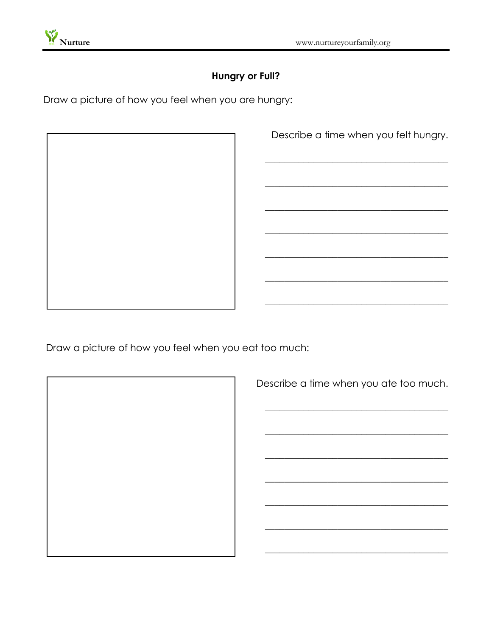

## **Hungry or Full?**

Draw a picture of how you feel when you are hungry:

Describe a time when you felt hungry.

Draw a picture of how you feel when you eat too much:

Describe a time when you ate too much.